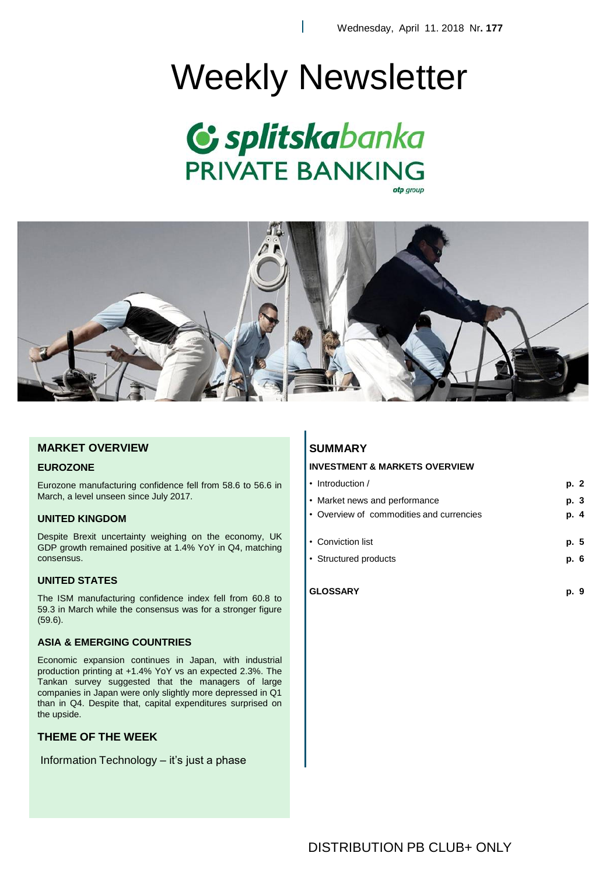# Weekly Newsletter

ı





# **MARKET OVERVIEW**

### **EUROZONE**

Eurozone manufacturing confidence fell from 58.6 to 56.6 in March, a level unseen since July 2017.

# **UNITED KINGDOM**

Despite Brexit uncertainty weighing on the economy, UK GDP growth remained positive at 1.4% YoY in Q4, matching consensus.

# **UNITED STATES**

The ISM manufacturing confidence index fell from 60.8 to 59.3 in March while the consensus was for a stronger figure (59.6).

# **ASIA & EMERGING COUNTRIES**

Economic expansion continues in Japan, with industrial production printing at +1.4% YoY vs an expected 2.3%. The Tankan survey suggested that the managers of large companies in Japan were only slightly more depressed in Q1 than in Q4. Despite that, capital expenditures surprised on the upside.

# **THEME OF THE WEEK**

Information Technology – it's just a phase

# **SUMMARY**

# **INVESTMENT & MARKETS OVERVIEW**

| $\cdot$ Introduction /                   | p. 2 |
|------------------------------------------|------|
| • Market news and performance            | p. 3 |
| • Overview of commodities and currencies | p. 4 |
|                                          |      |
| • Conviction list                        | p. 5 |
| • Structured products                    | p. 6 |
|                                          |      |
| <b>GLOSSARY</b>                          | p.   |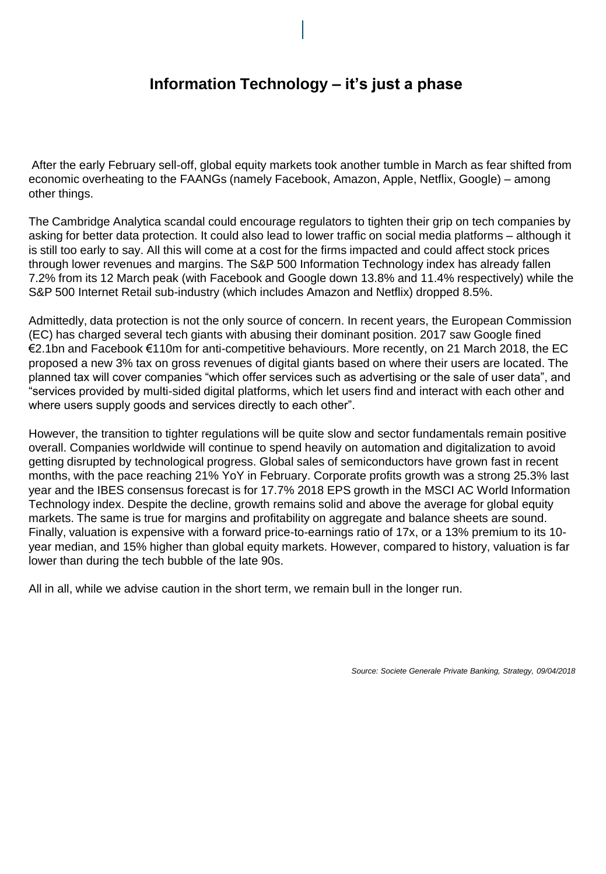# **Information Technology – it's just a phase**

After the early February sell-off, global equity markets took another tumble in March as fear shifted from economic overheating to the FAANGs (namely Facebook, Amazon, Apple, Netflix, Google) – among other things.

The Cambridge Analytica scandal could encourage regulators to tighten their grip on tech companies by asking for better data protection. It could also lead to lower traffic on social media platforms – although it is still too early to say. All this will come at a cost for the firms impacted and could affect stock prices through lower revenues and margins. The S&P 500 Information Technology index has already fallen 7.2% from its 12 March peak (with Facebook and Google down 13.8% and 11.4% respectively) while the S&P 500 Internet Retail sub-industry (which includes Amazon and Netflix) dropped 8.5%.

Admittedly, data protection is not the only source of concern. In recent years, the European Commission (EC) has charged several tech giants with abusing their dominant position. 2017 saw Google fined €2.1bn and Facebook €110m for anti-competitive behaviours. More recently, on 21 March 2018, the EC proposed a new 3% tax on gross revenues of digital giants based on where their users are located. The planned tax will cover companies "which offer services such as advertising or the sale of user data", and "services provided by multi-sided digital platforms, which let users find and interact with each other and where users supply goods and services directly to each other".

However, the transition to tighter regulations will be quite slow and sector fundamentals remain positive overall. Companies worldwide will continue to spend heavily on automation and digitalization to avoid getting disrupted by technological progress. Global sales of semiconductors have grown fast in recent months, with the pace reaching 21% YoY in February. Corporate profits growth was a strong 25.3% last year and the IBES consensus forecast is for 17.7% 2018 EPS growth in the MSCI AC World Information Technology index. Despite the decline, growth remains solid and above the average for global equity markets. The same is true for margins and profitability on aggregate and balance sheets are sound. Finally, valuation is expensive with a forward price-to-earnings ratio of 17x, or a 13% premium to its 10 year median, and 15% higher than global equity markets. However, compared to history, valuation is far lower than during the tech bubble of the late 90s.

All in all, while we advise caution in the short term, we remain bull in the longer run.

*Source: Societe Generale Private Banking, Strategy, 09/04/2018*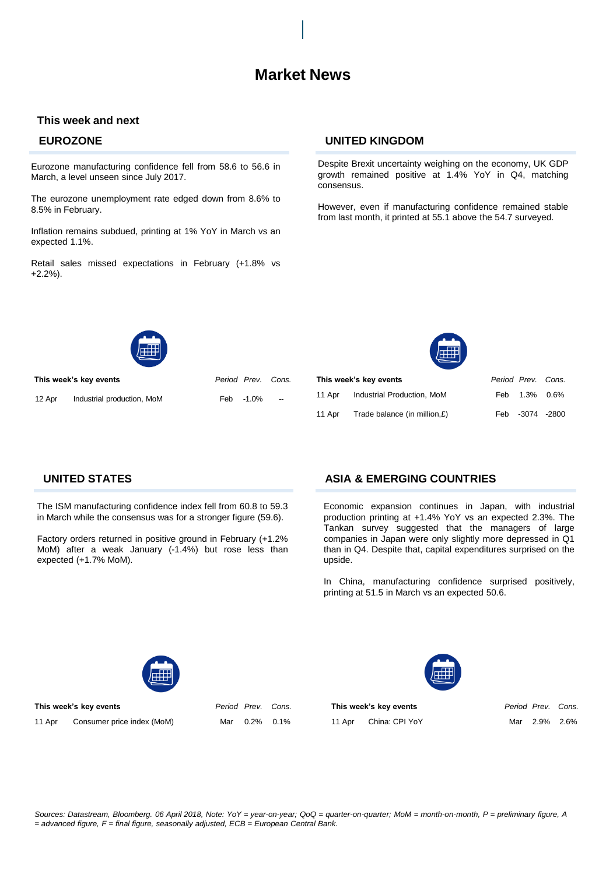# **This week and next**

Eurozone manufacturing confidence fell from 58.6 to 56.6 in March, a level unseen since July 2017.

The eurozone unemployment rate edged down from 8.6% to 8.5% in February.

Inflation remains subdued, printing at 1% YoY in March vs an expected 1.1%.

Retail sales missed expectations in February (+1.8% vs +2.2%).

# **EUROZONE UNITED KINGDOM**

Despite Brexit uncertainty weighing on the economy, UK GDP growth remained positive at 1.4% YoY in Q4, matching consensus.

However, even if manufacturing confidence remained stable from last month, it printed at 55.1 above the 54.7 surveyed.



**This week's key events** *Period Prev. Cons.*

12 Apr Industrial production, MoM

| Period Prev. Cons. |  |
|--------------------|--|
| Feb -1.0%          |  |

 $11$  $11$ 



|        | This week's key events       | Period Prev. Cons. |                 |  |
|--------|------------------------------|--------------------|-----------------|--|
| 11 Apr | Industrial Production, MoM   |                    | Feb 1.3% 0.6%   |  |
| 11 Apr | Trade balance (in million.£) |                    | Feb -3074 -2800 |  |

The ISM manufacturing confidence index fell from 60.8 to 59.3 in March while the consensus was for a stronger figure (59.6).

Factory orders returned in positive ground in February (+1.2% MoM) after a weak January (-1.4%) but rose less than expected (+1.7% MoM).

# **UNITED STATES ASIA & EMERGING COUNTRIES**

Economic expansion continues in Japan, with industrial production printing at +1.4% YoY vs an expected 2.3%. The Tankan survey suggested that the managers of large companies in Japan were only slightly more depressed in Q1 than in Q4. Despite that, capital expenditures surprised on the upside.

In China, manufacturing confidence surprised positively, printing at 51.5 in March vs an expected 50.6.



**This week's key events** *Period Prev. Cons.*

11 Apr Consumer price index (MoM) Mar 0.2% 0.1%

**This week's key events** *Period Prev. Cons.* 11 Apr China: CPI YoY Mar 2.9% 2.6%

*Sources: Datastream, Bloomberg. 06 April 2018, Note: YoY = year-on-year; QoQ = quarter-on-quarter; MoM = month-on-month, P = preliminary figure, A = advanced figure, F = final figure, seasonally adjusted, ECB = European Central Bank.*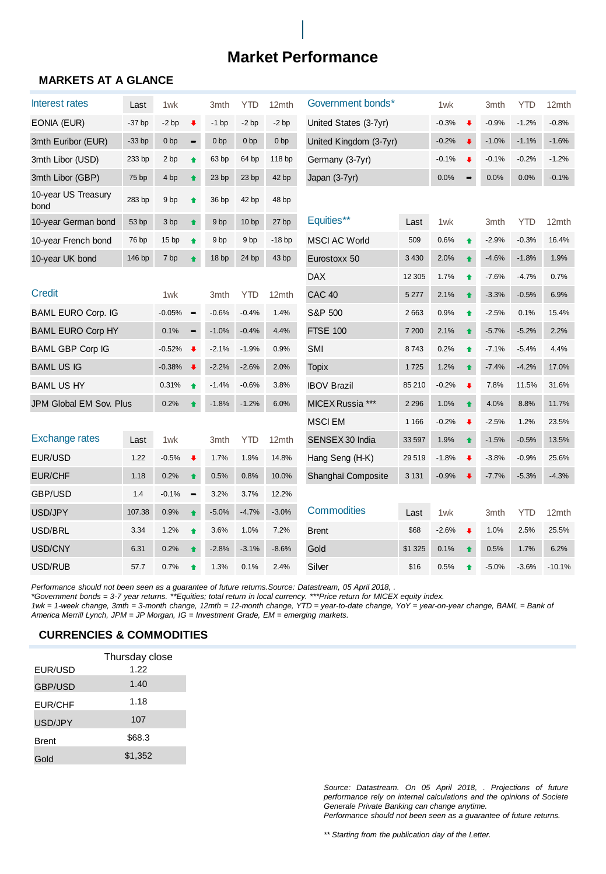# **Market Performance**

# **MARKETS AT A GLANCE**

| Interest rates              | Last     | 1wk              |                      | 3mth             | <b>YTD</b>       | 12mth            | Government bonds*             | 1wk     |                      | 3mth                 | <b>YTD</b> | 12mth      |          |
|-----------------------------|----------|------------------|----------------------|------------------|------------------|------------------|-------------------------------|---------|----------------------|----------------------|------------|------------|----------|
| EONIA (EUR)                 | $-37$ bp | $-2bp$           | $\ddot{\phantom{1}}$ | $-1$ bp          | $-2$ bp          | $-2$ bp          | United States (3-7yr)         | $-0.3%$ | $\ddot{\phantom{a}}$ | $-0.9%$              | $-1.2%$    | $-0.8%$    |          |
| 3mth Euribor (EUR)          | $-33$ bp | 0 <sub>bp</sub>  | $\rightarrow$        | 0 <sub>bp</sub>  | 0 <sub>bp</sub>  | 0 <sub>bp</sub>  | United Kingdom (3-7yr)        |         | $-0.2%$              | $\ddot{\phantom{1}}$ | $-1.0%$    | $-1.1%$    | $-1.6%$  |
| 3mth Libor (USD)            | 233 bp   | 2 bp             | ♦                    | 63 bp            | 64 bp            | 118 bp           | Germany (3-7yr)               |         | $-0.1%$              | ₩                    | $-0.1%$    | $-0.2%$    | $-1.2%$  |
| 3mth Libor (GBP)            | 75 bp    | 4 bp             | ♠                    | 23 <sub>bp</sub> | 23 bp            | 42 bp            | Japan (3-7yr)                 |         | 0.0%                 |                      | 0.0%       | 0.0%       | $-0.1%$  |
| 10-year US Treasury<br>bond | 283 bp   | 9 bp             | ↟                    | 36 bp            | 42 bp            | 48 bp            |                               |         |                      |                      |            |            |          |
| 10-year German bond         | 53 bp    | 3 bp             | ∙                    | 9 <sub>bp</sub>  | 10 <sub>bp</sub> | 27 <sub>bp</sub> | Equities**                    | Last    | 1wk                  |                      | 3mth       | <b>YTD</b> | 12mth    |
| 10-year French bond         | 76 bp    | 15 <sub>bp</sub> | $\bullet$            | 9 <sub>bp</sub>  | 9 <sub>bp</sub>  | $-18bp$          | <b>MSCI AC World</b>          | 509     | 0.6%                 | $\ddot{\bullet}$     | $-2.9%$    | $-0.3%$    | 16.4%    |
| 10-year UK bond             | 146 bp   | 7 bp             |                      | 18 bp            | 24 bp            | 43 bp            | Eurostoxx 50                  | 3 4 3 0 | 2.0%                 | ♠                    | $-4.6%$    | $-1.8%$    | 1.9%     |
|                             |          |                  |                      |                  |                  |                  | <b>DAX</b>                    | 12 30 5 | 1.7%                 | 合                    | $-7.6%$    | $-4.7%$    | 0.7%     |
| <b>Credit</b>               |          | 1wk              |                      | 3mth             | <b>YTD</b>       | 12mth            | CAC <sub>40</sub>             | 5 2 7 7 | 2.1%                 | ♦                    | $-3.3%$    | $-0.5%$    | 6.9%     |
| <b>BAML EURO Corp. IG</b>   |          | $-0.05%$         | $\rightarrow$        | $-0.6%$          | $-0.4%$          | 1.4%             | S&P 500                       | 2663    | 0.9%                 | ↟                    | $-2.5%$    | 0.1%       | 15.4%    |
| <b>BAML EURO Corp HY</b>    |          | 0.1%             | $\rightarrow$        | $-1.0%$          | $-0.4%$          | 4.4%             | <b>FTSE 100</b><br>7 200      |         | 2.1%                 | $\bullet$            | $-5.7%$    | $-5.2%$    | 2.2%     |
| <b>BAML GBP Corp IG</b>     |          | $-0.52%$         | $\ddot{\phantom{1}}$ | $-2.1%$          | $-1.9%$          | 0.9%             | <b>SMI</b><br>8743            |         | 0.2%                 | $\bullet$            | $-7.1%$    | $-5.4%$    | 4.4%     |
| <b>BAML US IG</b>           |          | $-0.38%$         | $\ddot{\phantom{1}}$ | $-2.2%$          | $-2.6%$          | 2.0%             | <b>Topix</b>                  | 1725    | 1.2%                 | ♦                    | $-7.4%$    | $-4.2%$    | 17.0%    |
| <b>BAML US HY</b>           |          | 0.31%            | $\bullet$            | $-1.4%$          | $-0.6%$          | 3.8%             | <b>IBOV Brazil</b>            | 85 210  | $-0.2%$              | $\ddot{\phantom{1}}$ | 7.8%       | 11.5%      | 31.6%    |
| JPM Global EM Sov. Plus     |          | 0.2%             |                      | $-1.8%$          | $-1.2%$          | 6.0%             | MICEX Russia ***              | 2 2 9 6 | 1.0%                 | ↟                    | 4.0%       | 8.8%       | 11.7%    |
|                             |          |                  |                      |                  |                  |                  | <b>MSCIEM</b>                 | 1 1 6 6 | $-0.2%$              | $\ddot{\phantom{1}}$ | $-2.5%$    | 1.2%       | 23.5%    |
| <b>Exchange rates</b>       | Last     | 1wk              |                      | 3mth             | <b>YTD</b>       | 12mth            | SENSEX 30 India               | 33 597  | 1.9%                 | $\ddot{\bullet}$     | $-1.5%$    | $-0.5%$    | 13.5%    |
| EUR/USD                     | 1.22     | $-0.5%$          | $\ddot{\phantom{1}}$ | 1.7%             | 1.9%             | 14.8%            | Hang Seng (H-K)               | 29 519  | $-1.8%$              | $\ddot{\phantom{1}}$ | $-3.8%$    | $-0.9%$    | 25.6%    |
| <b>EUR/CHF</b>              | 1.18     | 0.2%             | ♦                    | 0.5%             | 0.8%             | 10.0%            | 3 1 3 1<br>Shanghaï Composite |         | $-0.9%$              |                      | $-7.7%$    | $-5.3%$    | $-4.3%$  |
| GBP/USD                     | 1.4      | $-0.1%$          | $\rightarrow$        | 3.2%             | 3.7%             | 12.2%            |                               |         |                      |                      |            |            |          |
| USD/JPY                     | 107.38   | 0.9%             | ♠                    | $-5.0%$          | $-4.7%$          | $-3.0%$          | <b>Commodities</b>            | Last    | 1wk                  |                      | 3mth       | <b>YTD</b> | 12mth    |
| USD/BRL                     | 3.34     | 1.2%             | ↟                    | 3.6%             | 1.0%             | 7.2%             | <b>Brent</b>                  | \$68    | $-2.6%$              | $\ddot{\phantom{1}}$ | 1.0%       | 2.5%       | 25.5%    |
| USD/CNY                     | 6.31     | 0.2%             | ♦                    | $-2.8%$          | $-3.1%$          | $-8.6%$          | Gold                          | \$1 325 | 0.1%                 | ♦                    | 0.5%       | 1.7%       | 6.2%     |
| USD/RUB                     | 57.7     | 0.7%             | ♠                    | 1.3%             | 0.1%             | 2.4%             | Silver                        | \$16    | 0.5%                 | ♠                    | $-5.0%$    | $-3.6%$    | $-10.1%$ |

*Performance should not been seen as a guarantee of future returns.Source: Datastream, 05 April 2018, .*

*\*Government bonds = 3-7 year returns. \*\*Equities; total return in local currency. \*\*\*Price return for MICEX equity index.* 

*1wk = 1-week change, 3mth = 3-month change, 12mth = 12-month change, YTD = year-to-date change, YoY = year-on-year change, BAML = Bank of America Merrill Lynch, JPM = JP Morgan, IG = Investment Grade, EM = emerging markets.* 

# **CURRENCIES & COMMODITIES**

|                | Thursday close |
|----------------|----------------|
| EUR/USD        | 1.22           |
| <b>GBP/USD</b> | 1.40           |
| <b>EUR/CHF</b> | 1.18           |
| USD/JPY        | 107            |
| <b>Brent</b>   | \$68.3         |
| Gold           | \$1,352        |

*Source: Datastream. On 05 April 2018, . Projections of future performance rely on internal calculations and the opinions of Societe Generale Private Banking can change anytime. Performance should not been seen as a guarantee of future returns.*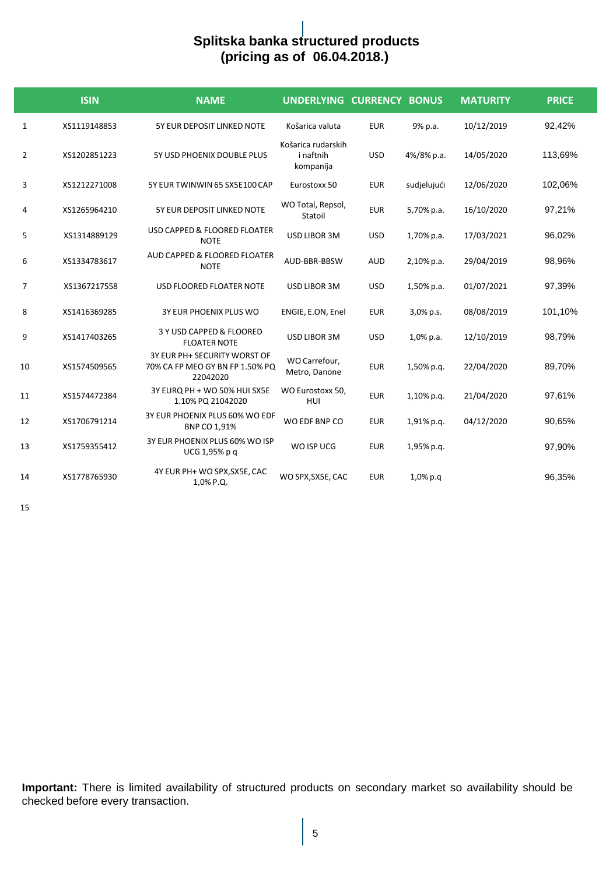# **Splitska banka structured products (pricing as of 06.04.2018.)**

|                | <b>ISIN</b>  | <b>NAME</b>                                                                 | UNDERLYING CURRENCY BONUS                    |            |              | <b>MATURITY</b> | <b>PRICE</b> |
|----------------|--------------|-----------------------------------------------------------------------------|----------------------------------------------|------------|--------------|-----------------|--------------|
| 1              | XS1119148853 | 5Y EUR DEPOSIT LINKED NOTE                                                  | Košarica valuta                              | <b>EUR</b> | 9% p.a.      | 10/12/2019      | 92,42%       |
| $\overline{2}$ | XS1202851223 | 5Y USD PHOENIX DOUBLE PLUS                                                  | Košarica rudarskih<br>i naftnih<br>kompanija | <b>USD</b> | 4%/8% p.a.   | 14/05/2020      | 113,69%      |
| 3              | XS1212271008 | 5Y EUR TWINWIN 65 SX5E100 CAP                                               | Eurostoxx 50                                 | <b>EUR</b> | sudjelujući  | 12/06/2020      | 102,06%      |
| 4              | XS1265964210 | 5Y EUR DEPOSIT LINKED NOTE                                                  | WO Total, Repsol,<br>Statoil                 | <b>EUR</b> | 5,70% p.a.   | 16/10/2020      | 97,21%       |
| 5              | XS1314889129 | USD CAPPED & FLOORED FLOATER<br><b>NOTE</b>                                 | USD LIBOR 3M                                 | <b>USD</b> | 1,70% p.a.   | 17/03/2021      | 96,02%       |
| 6              | XS1334783617 | AUD CAPPED & FLOORED FLOATER<br><b>NOTE</b>                                 | AUD-BBR-BBSW                                 | <b>AUD</b> | 2,10% p.a.   | 29/04/2019      | 98,96%       |
| 7              | XS1367217558 | USD FLOORED FLOATER NOTE                                                    | USD LIBOR 3M                                 | <b>USD</b> | 1,50% p.a.   | 01/07/2021      | 97,39%       |
| 8              | XS1416369285 | 3Y EUR PHOENIX PLUS WO                                                      | ENGIE, E.ON, Enel                            | <b>EUR</b> | 3,0% p.s.    | 08/08/2019      | 101,10%      |
| 9              | XS1417403265 | 3 Y USD CAPPED & FLOORED<br><b>FLOATER NOTE</b>                             | USD LIBOR 3M                                 | <b>USD</b> | $1,0\%$ p.a. | 12/10/2019      | 98,79%       |
| 10             | XS1574509565 | 3Y EUR PH+ SECURITY WORST OF<br>70% CA FP MEO GY BN FP 1.50% PQ<br>22042020 | WO Carrefour,<br>Metro, Danone               | <b>EUR</b> | 1,50% p.g.   | 22/04/2020      | 89,70%       |
| 11             | XS1574472384 | 3Y EURQ PH + WO 50% HUI SX5E<br>1.10% PQ 21042020                           | WO Eurostoxx 50,<br><b>HUI</b>               | <b>EUR</b> | 1,10% p.q.   | 21/04/2020      | 97,61%       |
| 12             | XS1706791214 | 3Y EUR PHOENIX PLUS 60% WO EDF<br>BNP CO 1,91%                              | WO EDF BNP CO                                | <b>EUR</b> | 1,91% p.g.   | 04/12/2020      | 90,65%       |
| 13             | XS1759355412 | 3Y EUR PHOENIX PLUS 60% WO ISP<br>UCG 1,95% p q                             | WO ISP UCG                                   | <b>EUR</b> | 1,95% p.q.   |                 | 97,90%       |
| 14             | XS1778765930 | 4Y EUR PH+ WO SPX, SX5E, CAC<br>1,0% P.Q.                                   | WO SPX, SX5E, CAC                            | <b>EUR</b> | $1,0\%$ p.q  |                 | 96,35%       |

15

**Important:** There is limited availability of structured products on secondary market so availability should be checked before every transaction.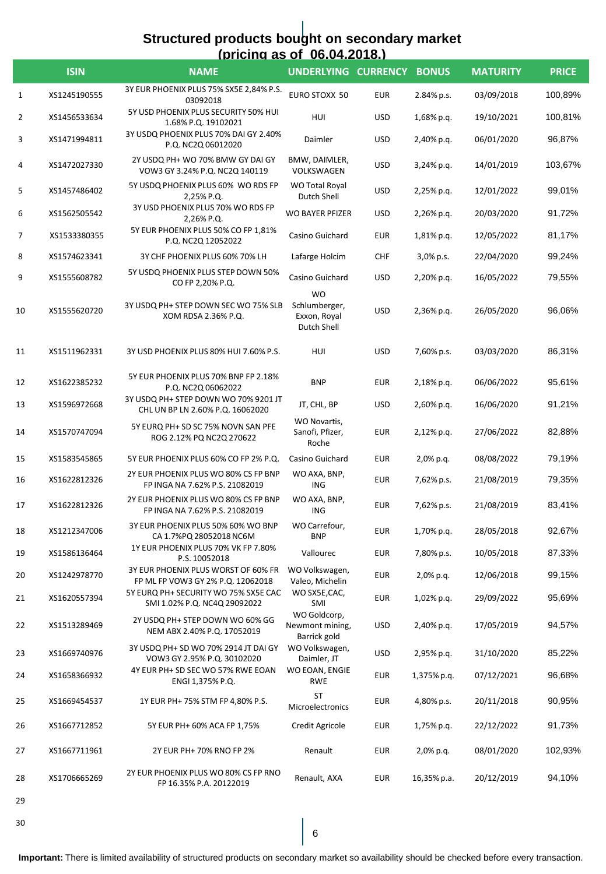# **Structured products bought on secondary market (pricing as of 06.04.2018.)**

|              | <b>ISIN</b>  | <b>NAME</b>                                                              | <u>INIIUIIIU AS VI VU.V4.ZV IO.I</u><br>UNDERLYING CURRENCY |            | <b>BONUS</b> | <b>MATURITY</b> | <b>PRICE</b> |
|--------------|--------------|--------------------------------------------------------------------------|-------------------------------------------------------------|------------|--------------|-----------------|--------------|
| $\mathbf{1}$ | XS1245190555 | 3Y EUR PHOENIX PLUS 75% SX5E 2,84% P.S.<br>03092018                      | EURO STOXX 50                                               | <b>EUR</b> | 2.84% p.s.   | 03/09/2018      | 100,89%      |
| 2            | XS1456533634 | 5Y USD PHOENIX PLUS SECURITY 50% HUI<br>1.68% P.Q. 19102021              | HUI                                                         | <b>USD</b> | 1,68% p.q.   | 19/10/2021      | 100,81%      |
| 3            | XS1471994811 | 3Y USDQ PHOENIX PLUS 70% DAI GY 2.40%<br>P.Q. NC2Q 06012020              | Daimler                                                     | <b>USD</b> | 2,40% p.q.   | 06/01/2020      | 96,87%       |
| 4            | XS1472027330 | 2Y USDQ PH+ WO 70% BMW GY DAI GY<br>VOW3 GY 3.24% P.Q. NC2Q 140119       | BMW, DAIMLER,<br>VOLKSWAGEN                                 | <b>USD</b> | 3,24% p.q.   | 14/01/2019      | 103,67%      |
| 5            | XS1457486402 | 5Y USDQ PHOENIX PLUS 60% WO RDS FP<br>2,25% P.Q.                         | WO Total Royal<br>Dutch Shell                               | <b>USD</b> | 2,25% p.q.   | 12/01/2022      | 99,01%       |
| 6            | XS1562505542 | 3Y USD PHOENIX PLUS 70% WO RDS FP<br>2,26% P.Q.                          | WO BAYER PFIZER                                             | USD        | 2,26% p.q.   | 20/03/2020      | 91,72%       |
| 7            | XS1533380355 | 5Y EUR PHOENIX PLUS 50% CO FP 1,81%<br>P.Q. NC2Q 12052022                | Casino Guichard                                             | EUR        | 1,81% p.q.   | 12/05/2022      | 81,17%       |
| 8            | XS1574623341 | 3Y CHF PHOENIX PLUS 60% 70% LH                                           | Lafarge Holcim                                              | CHF        | 3,0% p.s.    | 22/04/2020      | 99,24%       |
| 9            | XS1555608782 | 5Y USDQ PHOENIX PLUS STEP DOWN 50%<br>CO FP 2,20% P.Q.                   | Casino Guichard                                             | <b>USD</b> | 2,20% p.q.   | 16/05/2022      | 79,55%       |
| 10           | XS1555620720 | 3Y USDQ PH+ STEP DOWN SEC WO 75% SLB<br>XOM RDSA 2.36% P.Q.              | <b>WO</b><br>Schlumberger,<br>Exxon, Royal<br>Dutch Shell   | USD        | 2,36% p.q.   | 26/05/2020      | 96,06%       |
| 11           | XS1511962331 | 3Y USD PHOENIX PLUS 80% HUI 7.60% P.S.                                   | HUI                                                         | <b>USD</b> | 7,60% p.s.   | 03/03/2020      | 86,31%       |
| 12           | XS1622385232 | 5Y EUR PHOENIX PLUS 70% BNP FP 2.18%<br>P.Q. NC2Q 06062022               | <b>BNP</b>                                                  | <b>EUR</b> | 2,18% p.q.   | 06/06/2022      | 95,61%       |
| 13           | XS1596972668 | 3Y USDQ PH+ STEP DOWN WO 70% 9201 JT<br>CHL UN BP LN 2.60% P.Q. 16062020 | JT, CHL, BP                                                 | <b>USD</b> | 2,60% p.q.   | 16/06/2020      | 91,21%       |
| 14           | XS1570747094 | 5Y EURQ PH+ SD SC 75% NOVN SAN PFE<br>ROG 2.12% PQ NC2Q 270622           | WO Novartis,<br>Sanofi, Pfizer,<br>Roche                    | <b>EUR</b> | 2,12% p.q.   | 27/06/2022      | 82,88%       |
| 15           | XS1583545865 | 5Y EUR PHOENIX PLUS 60% CO FP 2% P.Q.                                    | Casino Guichard                                             | EUR        | 2,0% p.q.    | 08/08/2022      | 79,19%       |
| 16           | XS1622812326 | 2Y EUR PHOENIX PLUS WO 80% CS FP BNP<br>FP INGA NA 7.62% P.S. 21082019   | WO AXA, BNP,<br><b>ING</b>                                  | <b>EUR</b> | 7,62% p.s.   | 21/08/2019      | 79,35%       |
| 17           | XS1622812326 | 2Y EUR PHOENIX PLUS WO 80% CS FP BNP<br>FP INGA NA 7.62% P.S. 21082019   | WO AXA, BNP,<br><b>ING</b>                                  | <b>EUR</b> | 7,62% p.s.   | 21/08/2019      | 83,41%       |
| 18           | XS1212347006 | 3Y EUR PHOENIX PLUS 50% 60% WO BNP<br>CA 1.7%PQ 28052018 NC6M            | WO Carrefour,<br><b>BNP</b>                                 | EUR        | 1,70% p.q.   | 28/05/2018      | 92,67%       |
| 19           | XS1586136464 | 1Y EUR PHOENIX PLUS 70% VK FP 7.80%<br>P.S. 10052018                     | Vallourec                                                   | <b>EUR</b> | 7,80% p.s.   | 10/05/2018      | 87,33%       |
| 20           | XS1242978770 | 3Y EUR PHOENIX PLUS WORST OF 60% FR<br>FP ML FP VOW3 GY 2% P.Q. 12062018 | WO Volkswagen,<br>Valeo, Michelin                           | <b>EUR</b> | 2,0% p.g.    | 12/06/2018      | 99,15%       |
| 21           | XS1620557394 | 5Y EURQ PH+ SECURITY WO 75% SX5E CAC<br>SMI 1.02% P.Q. NC4Q 29092022     | WO SX5E, CAC,<br>SMI                                        | <b>EUR</b> | 1,02% p.q.   | 29/09/2022      | 95,69%       |
| 22           | XS1513289469 | 2Y USDQ PH+ STEP DOWN WO 60% GG<br>NEM ABX 2.40% P.Q. 17052019           | WO Goldcorp,<br>Newmont mining,<br>Barrick gold             | <b>USD</b> | 2,40% p.q.   | 17/05/2019      | 94,57%       |
| 23           | XS1669740976 | 3Y USDQ PH+ SD WO 70% 2914 JT DAI GY<br>VOW3 GY 2.95% P.Q. 30102020      | WO Volkswagen,<br>Daimler, JT                               | <b>USD</b> | 2,95% p.q.   | 31/10/2020      | 85,22%       |
| 24           | XS1658366932 | 4Y EUR PH+ SD SEC WO 57% RWE EOAN<br>ENGI 1,375% P.Q.                    | WO EOAN, ENGIE<br><b>RWE</b>                                | EUR        | 1,375% p.q.  | 07/12/2021      | 96,68%       |
| 25           | XS1669454537 | 1Y EUR PH+ 75% STM FP 4,80% P.S.                                         | ST<br>Microelectronics                                      | EUR        | 4,80% p.s.   | 20/11/2018      | 90,95%       |
| 26           | XS1667712852 | 5Y EUR PH+ 60% ACA FP 1,75%                                              | Credit Agricole                                             | EUR        | 1,75% p.q.   | 22/12/2022      | 91,73%       |
| 27           | XS1667711961 | 2Y EUR PH+ 70% RNO FP 2%                                                 | Renault                                                     | <b>EUR</b> | 2,0% p.q.    | 08/01/2020      | 102,93%      |
| 28           | XS1706665269 | 2Y EUR PHOENIX PLUS WO 80% CS FP RNO<br>FP 16.35% P.A. 20122019          | Renault, AXA                                                | <b>EUR</b> | 16,35% p.a.  | 20/12/2019      | 94,10%       |
| 29           |              |                                                                          |                                                             |            |              |                 |              |

30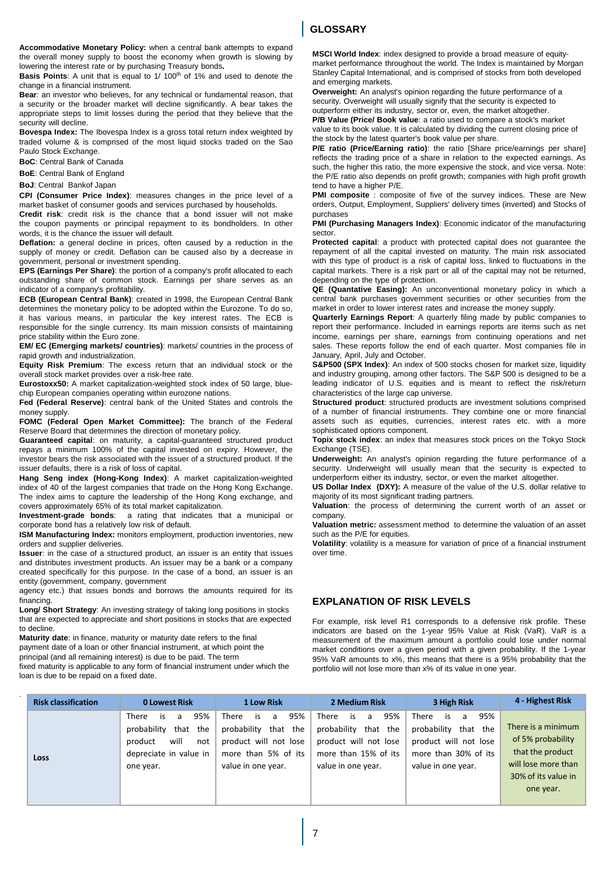**Accommodative Monetary Policy:** when a central bank attempts to expand the overall money supply to boost the economy when growth is slowing by lowering the interest rate or by purchasing Treasury bonds**.**

**Basis Points**: A unit that is equal to 1/ 100<sup>th</sup> of 1% and used to denote the change in a financial instrument.

**Bear**: an investor who believes, for any technical or fundamental reason, that a security or the broader market will decline significantly. A bear takes the appropriate steps to limit losses during the period that they believe that the security will decline.

**Bovespa Index:** The Ibovespa Index is a gross total return index weighted by traded volume & is comprised of the most liquid stocks traded on the Sao Paulo Stock Exchange.

**BoC**: Central Bank of Canada

**BoE**: Central Bank of England

**BoJ**: Central Bankof Japan

**CPI (Consumer Price Index)**: measures changes in the price level of a market basket of consumer goods and services purchased by households.

**Credit risk**: credit risk is the chance that a bond issuer will not make the coupon payments or principal repayment to its bondholders. In other words, it is the chance the issuer will default.

**Deflation:** a general decline in prices, often caused by a reduction in the supply of money or credit. Deflation can be caused also by a decrease in government, personal or investment spending.

**EPS (Earnings Per Share)**: the portion of a company's profit allocated to each outstanding share of common stock. Earnings per share serves as an indicator of a company's profitability.

**ECB (European Central Bank)**: created in 1998, the European Central Bank determines the monetary policy to be adopted within the Eurozone. To do so, it has various means, in particular the key interest rates. The ECB is responsible for the single currency. Its main mission consists of maintaining price stability within the Euro zone.

**EM/ EC (Emerging markets/ countries)**: markets/ countries in the process of rapid growth and industrialization.

**Equity Risk Premium**: The excess return that an individual stock or the overall stock market provides over a risk-free rate.

**Eurostoxx50:** A market capitalization-weighted stock index of 50 large, bluechip European companies operating within eurozone nations.

**Fed (Federal Reserve)**: central bank of the United States and controls the money supply.

**FOMC (Federal Open Market Committee):** The branch of the Federal Reserve Board that determines the direction of monetary policy.

**Guaranteed capital**: on maturity, a capital-guaranteed structured product repays a minimum 100% of the capital invested on expiry. However, the investor bears the risk associated with the issuer of a structured product. If the issuer defaults, there is a risk of loss of capital.

**Hang Seng index (Hong-Kong Index)**: A market capitalization-weighted index of 40 of the largest companies that trade on the Hong Kong Exchange. The index aims to capture the leadership of the Hong Kong exchange, and covers approximately 65% of its total market capitalization.

**Investment-grade bonds**: a rating that indicates that a municipal or corporate bond has a relatively low risk of default.

**ISM Manufacturing Index:** monitors employment, production inventories, new orders and supplier deliveries.

**Issuer**: in the case of a structured product, an issuer is an entity that issues and distributes investment products. An issuer may be a bank or a company created specifically for this purpose. In the case of a bond, an issuer is an entity (government, company, government

agency etc.) that issues bonds and borrows the amounts required for its financing.

**Long/ Short Strategy**: An investing strategy of taking long positions in stocks that are expected to appreciate and short positions in stocks that are expected to decline.

**Maturity date**: in finance, maturity or maturity date refers to the final payment date of a loan or other financial instrument, at which point the

principal (and all remaining interest) is due to be paid. The term

.

fixed maturity is applicable to any form of financial instrument under which the loan is due to be repaid on a fixed date.

# **INTERNAL USE ONLY GLOSSARY**

**MSCI World Index**: index designed to provide a broad measure of equitymarket performance throughout the world. The Index is maintained by Morgan Stanley Capital International, and is comprised of stocks from both developed and emerging markets.

**Overweight:** An analyst's opinion regarding the future performance of a security. Overweight will usually signify that the security is expected to outperform either its industry, sector or, even, the market altogether.

**P/B Value (Price/ Book value**: a ratio used to compare a stock's market value to its book value. It is calculated by dividing the current closing price of the stock by the latest quarter's book value per share.

**P/E ratio (Price/Earning ratio)**: the ratio [Share price/earnings per share] reflects the trading price of a share in relation to the expected earnings. As such, the higher this ratio, the more expensive the stock, and vice versa. Note: the P/E ratio also depends on profit growth; companies with high profit growth tend to have a higher P/E.

**PMI composite** : composite of five of the survey indices. These are New orders, Output, Employment, Suppliers' delivery times (inverted) and Stocks of purchases

**PMI (Purchasing Managers Index)**: Economic indicator of the manufacturing sector.

**Protected capital**: a product with protected capital does not guarantee the repayment of all the capital invested on maturity. The main risk associated with this type of product is a risk of capital loss, linked to fluctuations in the capital markets. There is a risk part or all of the capital may not be returned, depending on the type of protection.

**QE (Quantative Easing):** An unconventional monetary policy in which a central bank purchases government securities or other securities from the market in order to lower interest rates and increase the money supply.

**Quarterly Earnings Report**: A quarterly filing made by public companies to report their performance. Included in earnings reports are items such as net income, earnings per share, earnings from continuing operations and net sales. These reports follow the end of each quarter. Most companies file in January, April, July and October.

**S&P500 (SPX Index)**: An index of 500 stocks chosen for market size, liquidity and industry grouping, among other factors. The S&P 500 is designed to be a leading indicator of U.S. equities and is meant to reflect the risk/return characteristics of the large cap universe.

**Structured product**: structured products are investment solutions comprised of a number of financial instruments. They combine one or more financial assets such as equities, currencies, interest rates etc. with a more sophisticated options component.

**Topix stock index**: an index that measures stock prices on the Tokyo Stock Exchange (TSE).

**Underweight:** An analyst's opinion regarding the future performance of a security. Underweight will usually mean that the security is expected to underperform either its industry, sector, or even the market altogether.

**US Dollar Index (DXY):** A measure of the value of the U.S. dollar relative to majority of its most significant trading partners.

**Valuation**: the process of determining the current worth of an asset or company.

**Valuation metric:** assessment method to determine the valuation of an asset such as the P/E for equities.

**Volatility**: volatility is a measure for variation of price of a financial instrument over time.

# **EXPLANATION OF RISK LEVELS**

For example, risk level R1 corresponds to a defensive risk profile. These indicators are based on the 1-year 95% Value at Risk (VaR). VaR is a measurement of the maximum amount a portfolio could lose under normal market conditions over a given period with a given probability. If the 1-year 95% VaR amounts to x%, this means that there is a 95% probability that the portfolio will not lose more than x% of its value in one year.

| <b>Risk classification</b> | <b>0 Lowest Risk</b>                                                                                                 | <b>1 Low Risk</b>                                                                                                      | 2 Medium Risk                                                                                                                    | 3 High Risk                                                                                                                      | 4 Highest Risk                                                                                                         |
|----------------------------|----------------------------------------------------------------------------------------------------------------------|------------------------------------------------------------------------------------------------------------------------|----------------------------------------------------------------------------------------------------------------------------------|----------------------------------------------------------------------------------------------------------------------------------|------------------------------------------------------------------------------------------------------------------------|
| Loss                       | 95%<br>There<br>a<br>is.<br>that the<br>probability<br>will<br>product<br>not<br>depreciate in value in<br>one year. | 95%<br>There<br>is.<br>a<br>probability that the<br>product will not lose<br>more than 5% of its<br>value in one year. | 95%<br><b>There</b><br>a<br>is<br>that the<br>probability<br>product will not lose<br>more than 15% of its<br>value in one year. | <b>There</b><br>95%<br>a<br>İS<br>probability<br>that the<br>product will not lose<br>more than 30% of its<br>value in one year. | There is a minimum<br>of 5% probability<br>that the product<br>will lose more than<br>30% of its value in<br>one year. |